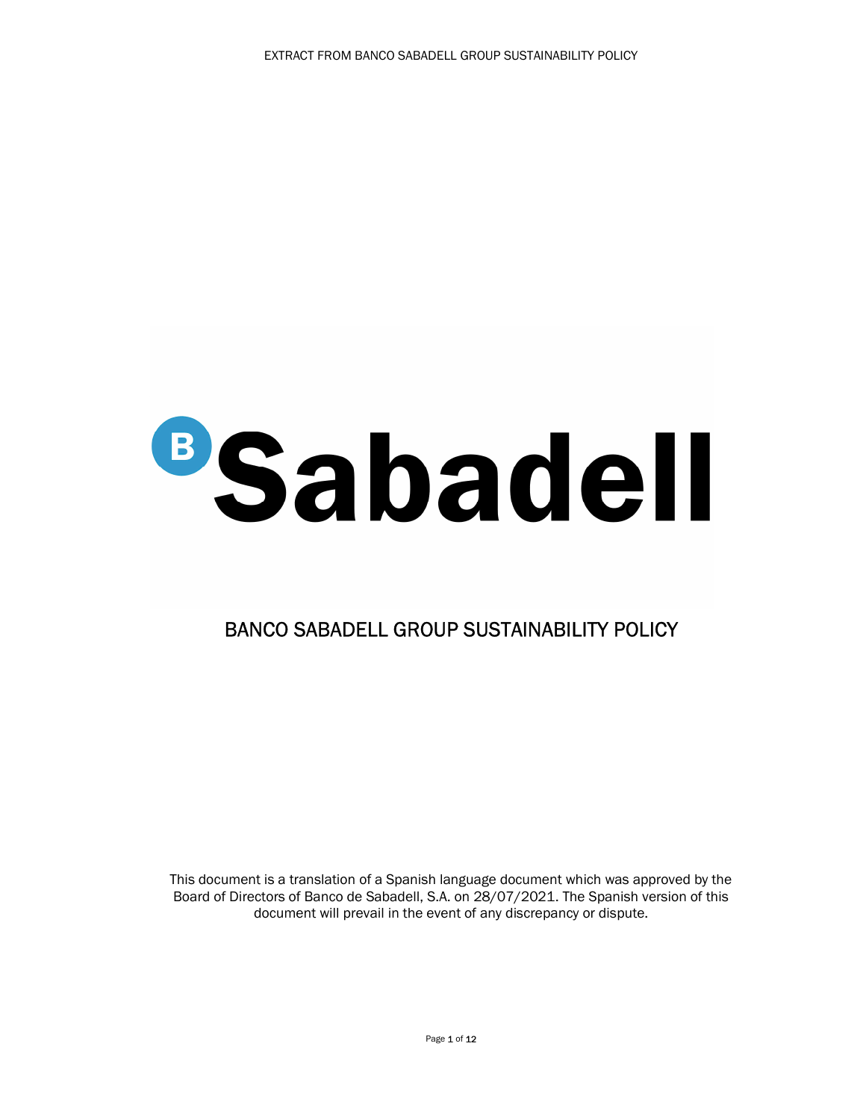## **BSabadell**

## BANCO SABADELL GROUP SUSTAINABILITY POLICY

This document is a translation of a Spanish language document which was approved by the Board of Directors of Banco de Sabadell, S.A. on 28/07/2021. The Spanish version of this document will prevail in the event of any discrepancy or dispute.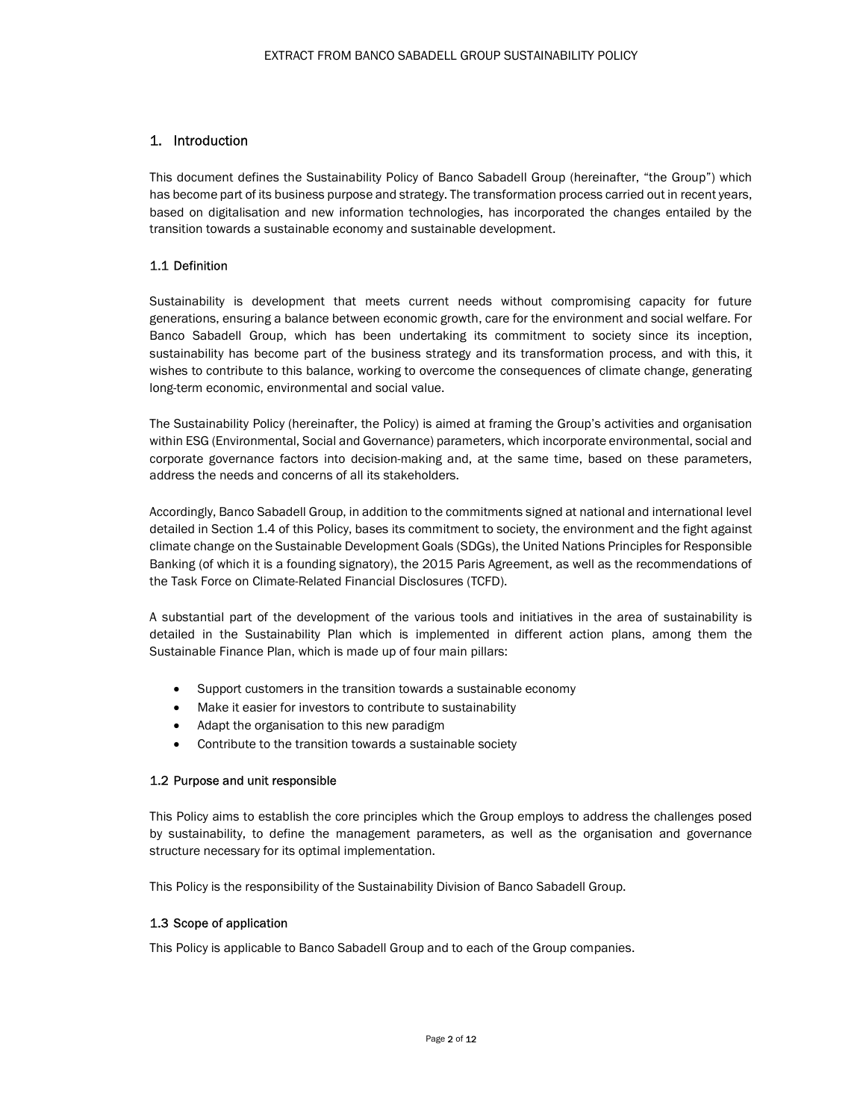### 1. Introduction

This document defines the Sustainability Policy of Banco Sabadell Group (hereinafter, "the Group") which has become part of its business purpose and strategy. The transformation process carried out in recent years, based on digitalisation and new information technologies, has incorporated the changes entailed by the transition towards a sustainable economy and sustainable development.

### 1.1 Definition

Sustainability is development that meets current needs without compromising capacity for future generations, ensuring a balance between economic growth, care for the environment and social welfare. For Banco Sabadell Group, which has been undertaking its commitment to society since its inception, sustainability has become part of the business strategy and its transformation process, and with this, it wishes to contribute to this balance, working to overcome the consequences of climate change, generating long-term economic, environmental and social value.

The Sustainability Policy (hereinafter, the Policy) is aimed at framing the Group's activities and organisation within ESG (Environmental, Social and Governance) parameters, which incorporate environmental, social and corporate governance factors into decision-making and, at the same time, based on these parameters, address the needs and concerns of all its stakeholders.

Accordingly, Banco Sabadell Group, in addition to the commitments signed at national and international level detailed in Section 1.4 of this Policy, bases its commitment to society, the environment and the fight against climate change on the Sustainable Development Goals (SDGs), the United Nations Principles for Responsible Banking (of which it is a founding signatory), the 2015 Paris Agreement, as well as the recommendations of the Task Force on Climate-Related Financial Disclosures (TCFD).

A substantial part of the development of the various tools and initiatives in the area of sustainability is detailed in the Sustainability Plan which is implemented in different action plans, among them the Sustainable Finance Plan, which is made up of four main pillars:

- Support customers in the transition towards a sustainable economy
- Make it easier for investors to contribute to sustainability
- Adapt the organisation to this new paradigm
- Contribute to the transition towards a sustainable society

### 1.2 Purpose and unit responsible

This Policy aims to establish the core principles which the Group employs to address the challenges posed by sustainability, to define the management parameters, as well as the organisation and governance structure necessary for its optimal implementation.

This Policy is the responsibility of the Sustainability Division of Banco Sabadell Group.

### 1.3 Scope of application

This Policy is applicable to Banco Sabadell Group and to each of the Group companies.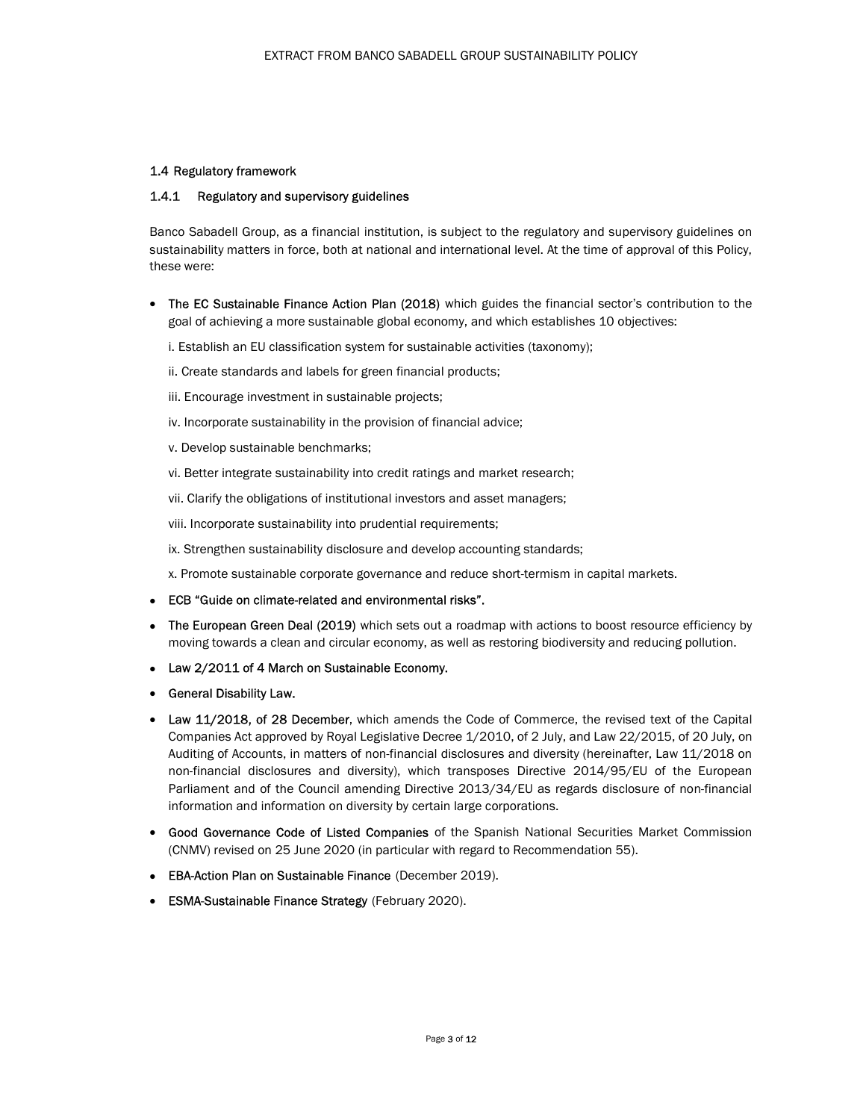### 1.4 Regulatory framework

### 1.4.1 Regulatory and supervisory guidelines

Banco Sabadell Group, as a financial institution, is subject to the regulatory and supervisory guidelines on sustainability matters in force, both at national and international level. At the time of approval of this Policy, these were:

- The EC Sustainable Finance Action Plan (2018) which guides the financial sector's contribution to the goal of achieving a more sustainable global economy, and which establishes 10 objectives:
	- i. Establish an EU classification system for sustainable activities (taxonomy);
	- ii. Create standards and labels for green financial products;
	- iii. Encourage investment in sustainable projects;
	- iv. Incorporate sustainability in the provision of financial advice;
	- v. Develop sustainable benchmarks;
	- vi. Better integrate sustainability into credit ratings and market research;
	- vii. Clarify the obligations of institutional investors and asset managers;
	- viii. Incorporate sustainability into prudential requirements;
	- ix. Strengthen sustainability disclosure and develop accounting standards;

x. Promote sustainable corporate governance and reduce short-termism in capital markets.

- ECB "Guide on climate-related and environmental risks".
- The European Green Deal (2019) which sets out a roadmap with actions to boost resource efficiency by moving towards a clean and circular economy, as well as restoring biodiversity and reducing pollution.
- Law 2/2011 of 4 March on Sustainable Economy.
- General Disability Law.
- Law 11/2018, of 28 December, which amends the Code of Commerce, the revised text of the Capital Companies Act approved by Royal Legislative Decree 1/2010, of 2 July, and Law 22/2015, of 20 July, on Auditing of Accounts, in matters of non-financial disclosures and diversity (hereinafter, Law 11/2018 on non-financial disclosures and diversity), which transposes Directive 2014/95/EU of the European Parliament and of the Council amending Directive 2013/34/EU as regards disclosure of non-financial information and information on diversity by certain large corporations.
- **Good Governance Code of Listed Companies** of the Spanish National Securities Market Commission (CNMV) revised on 25 June 2020 (in particular with regard to Recommendation 55).
- EBA-Action Plan on Sustainable Finance (December 2019).
- ESMA-Sustainable Finance Strategy (February 2020).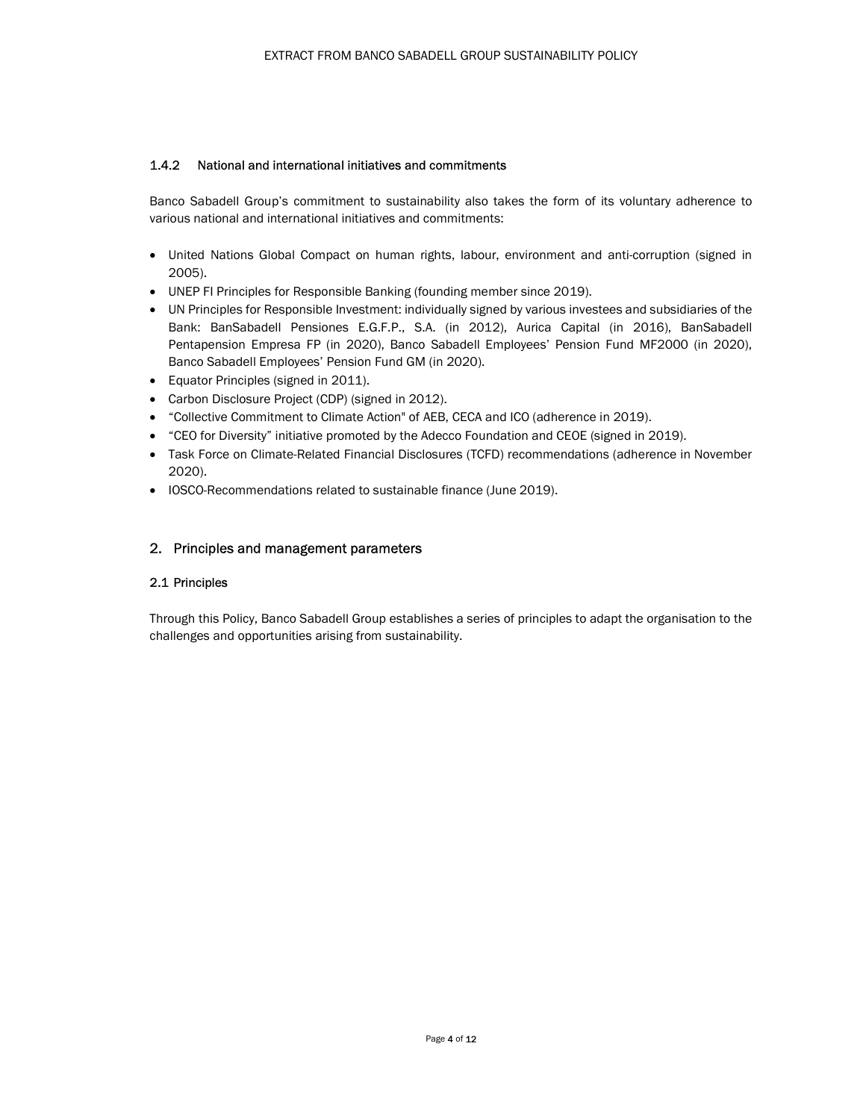### 1.4.2 National and international initiatives and commitments

Banco Sabadell Group's commitment to sustainability also takes the form of its voluntary adherence to various national and international initiatives and commitments:

- United Nations Global Compact on human rights, labour, environment and anti-corruption (signed in 2005).
- UNEP FI Principles for Responsible Banking (founding member since 2019).
- UN Principles for Responsible Investment: individually signed by various investees and subsidiaries of the Bank: BanSabadell Pensiones E.G.F.P., S.A. (in 2012), Aurica Capital (in 2016), BanSabadell Pentapension Empresa FP (in 2020), Banco Sabadell Employees' Pension Fund MF2000 (in 2020), Banco Sabadell Employees' Pension Fund GM (in 2020).
- Equator Principles (signed in 2011).
- Carbon Disclosure Project (CDP) (signed in 2012).
- "Collective Commitment to Climate Action" of AEB, CECA and ICO (adherence in 2019).
- "CEO for Diversity" initiative promoted by the Adecco Foundation and CEOE (signed in 2019).
- Task Force on Climate-Related Financial Disclosures (TCFD) recommendations (adherence in November 2020).
- IOSCO-Recommendations related to sustainable finance (June 2019).

### 2. Principles and management parameters

### 2.1 Principles

Through this Policy, Banco Sabadell Group establishes a series of principles to adapt the organisation to the challenges and opportunities arising from sustainability.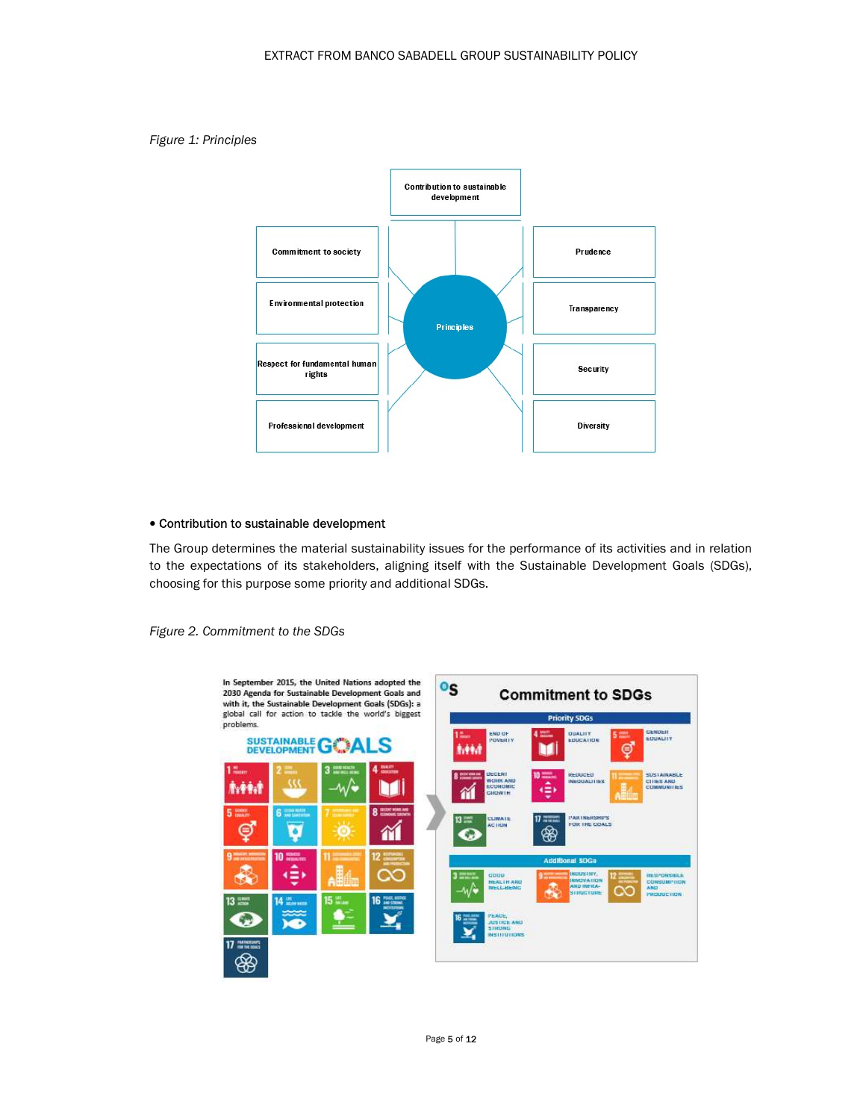



### Contribution to sustainable development

The Group determines the material sustainability issues for the performance of its activities and in relation to the expectations of its stakeholders, aligning itself with the Sustainable Development Goals (SDGs), choosing for this purpose some priority and additional SDGs.



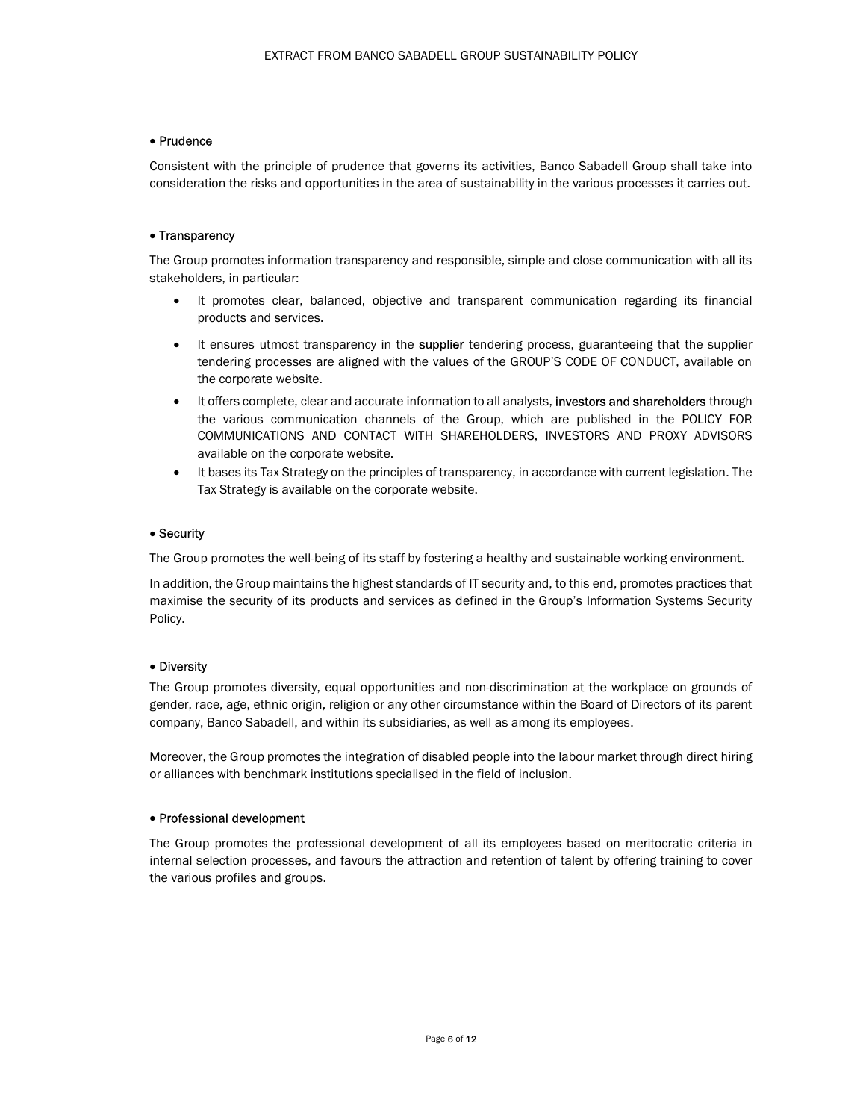### Prudence

Consistent with the principle of prudence that governs its activities, Banco Sabadell Group shall take into consideration the risks and opportunities in the area of sustainability in the various processes it carries out.

### • Transparency

The Group promotes information transparency and responsible, simple and close communication with all its stakeholders, in particular:

- It promotes clear, balanced, objective and transparent communication regarding its financial products and services.
- It ensures utmost transparency in the supplier tendering process, guaranteeing that the supplier tendering processes are aligned with the values of the GROUP'S CODE OF CONDUCT, available on the corporate website.
- It offers complete, clear and accurate information to all analysts, **investors and shareholders** through the various communication channels of the Group, which are published in the POLICY FOR COMMUNICATIONS AND CONTACT WITH SHAREHOLDERS, INVESTORS AND PROXY ADVISORS available on the corporate website.
- It bases its Tax Strategy on the principles of transparency, in accordance with current legislation. The Tax Strategy is available on the corporate website.

### Security

The Group promotes the well-being of its staff by fostering a healthy and sustainable working environment.

In addition, the Group maintains the highest standards of IT security and, to this end, promotes practices that maximise the security of its products and services as defined in the Group's Information Systems Security Policy.

### Diversity

The Group promotes diversity, equal opportunities and non-discrimination at the workplace on grounds of gender, race, age, ethnic origin, religion or any other circumstance within the Board of Directors of its parent company, Banco Sabadell, and within its subsidiaries, as well as among its employees.

Moreover, the Group promotes the integration of disabled people into the labour market through direct hiring or alliances with benchmark institutions specialised in the field of inclusion.

### Professional development

The Group promotes the professional development of all its employees based on meritocratic criteria in internal selection processes, and favours the attraction and retention of talent by offering training to cover the various profiles and groups.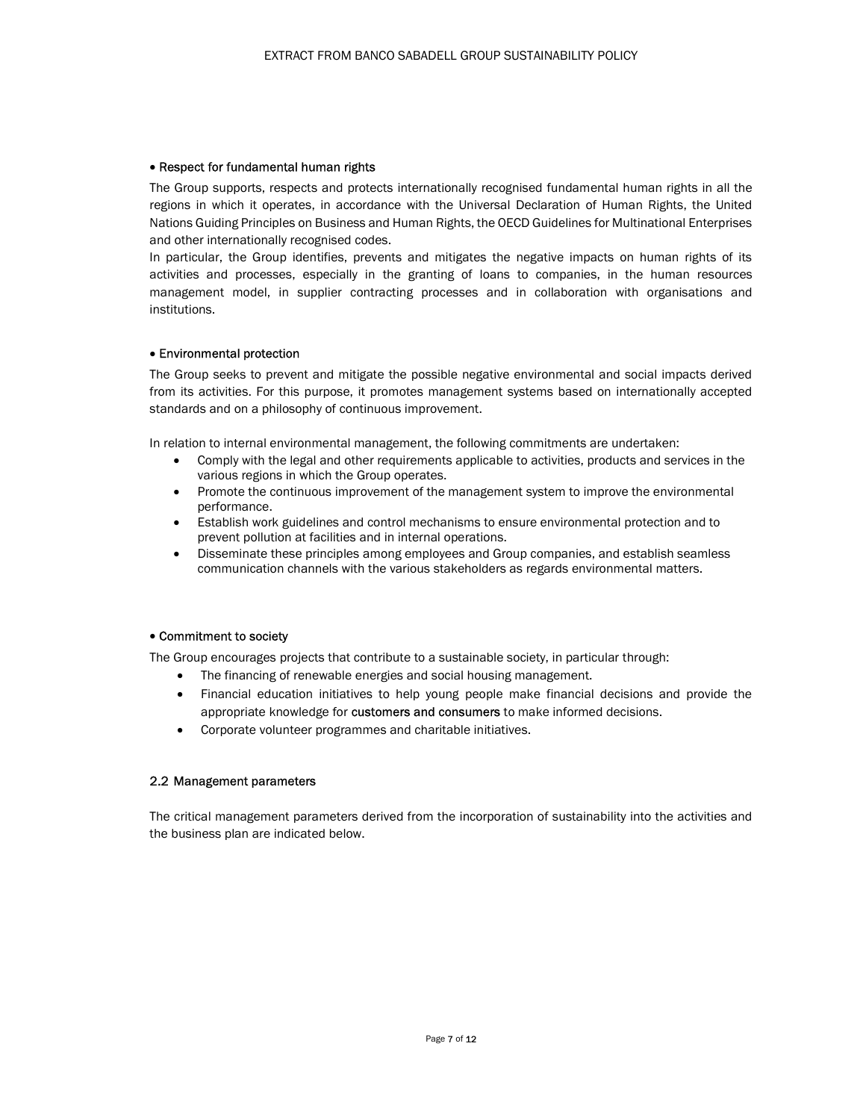### • Respect for fundamental human rights

The Group supports, respects and protects internationally recognised fundamental human rights in all the regions in which it operates, in accordance with the Universal Declaration of Human Rights, the United Nations Guiding Principles on Business and Human Rights, the OECD Guidelines for Multinational Enterprises and other internationally recognised codes.

In particular, the Group identifies, prevents and mitigates the negative impacts on human rights of its activities and processes, especially in the granting of loans to companies, in the human resources management model, in supplier contracting processes and in collaboration with organisations and institutions.

### Environmental protection

The Group seeks to prevent and mitigate the possible negative environmental and social impacts derived from its activities. For this purpose, it promotes management systems based on internationally accepted standards and on a philosophy of continuous improvement.

In relation to internal environmental management, the following commitments are undertaken:

- Comply with the legal and other requirements applicable to activities, products and services in the various regions in which the Group operates.
- Promote the continuous improvement of the management system to improve the environmental performance.
- Establish work guidelines and control mechanisms to ensure environmental protection and to prevent pollution at facilities and in internal operations.
- Disseminate these principles among employees and Group companies, and establish seamless communication channels with the various stakeholders as regards environmental matters.

### Commitment to society

The Group encourages projects that contribute to a sustainable society, in particular through:

- The financing of renewable energies and social housing management.
- Financial education initiatives to help young people make financial decisions and provide the appropriate knowledge for customers and consumers to make informed decisions.
- Corporate volunteer programmes and charitable initiatives.

### 2.2 Management parameters

The critical management parameters derived from the incorporation of sustainability into the activities and the business plan are indicated below.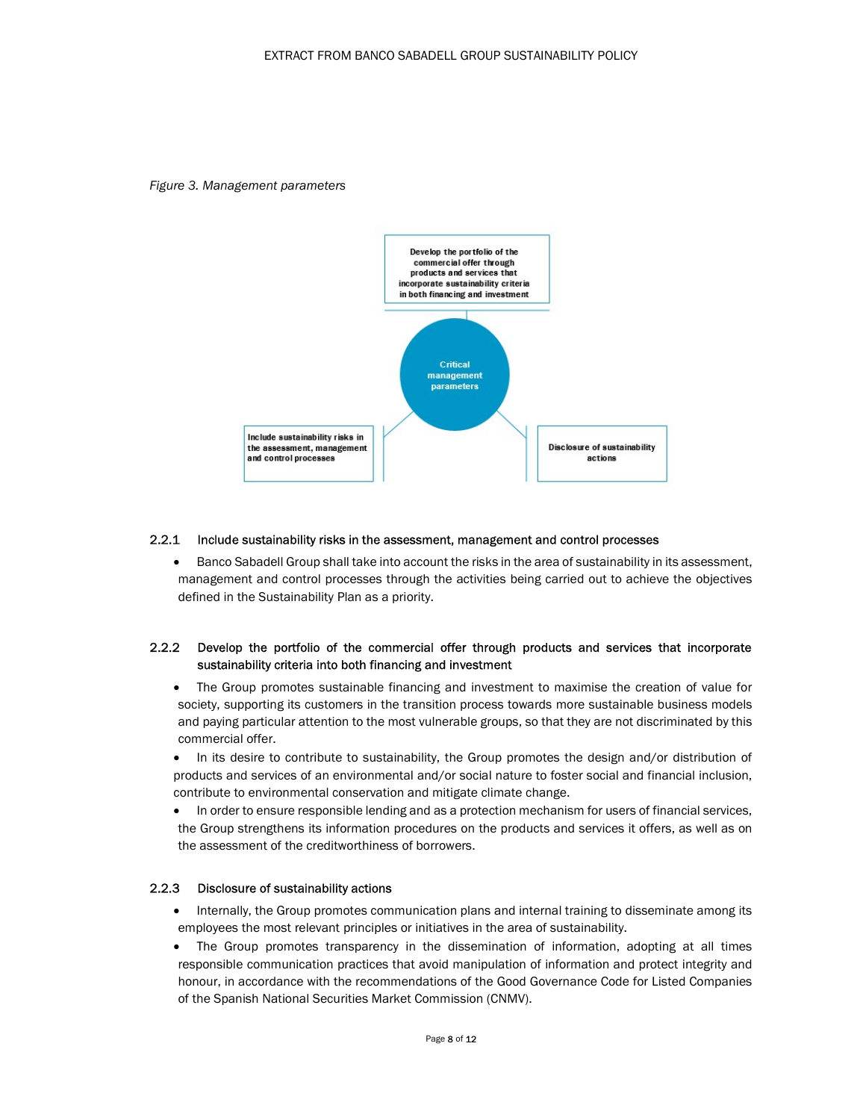



### 2.2.1 Include sustainability risks in the assessment, management and control processes

• Banco Sabadell Group shall take into account the risks in the area of sustainability in its assessment, management and control processes through the activities being carried out to achieve the objectives defined in the Sustainability Plan as a priority.

### 2.2.2 Develop the portfolio of the commercial offer through products and services that incorporate sustainability criteria into both financing and investment

- The Group promotes sustainable financing and investment to maximise the creation of value for society, supporting its customers in the transition process towards more sustainable business models and paying particular attention to the most vulnerable groups, so that they are not discriminated by this commercial offer.
- In its desire to contribute to sustainability, the Group promotes the design and/or distribution of products and services of an environmental and/or social nature to foster social and financial inclusion, contribute to environmental conservation and mitigate climate change.
- In order to ensure responsible lending and as a protection mechanism for users of financial services, the Group strengthens its information procedures on the products and services it offers, as well as on the assessment of the creditworthiness of borrowers.

### 2.2.3 Disclosure of sustainability actions

- Internally, the Group promotes communication plans and internal training to disseminate among its employees the most relevant principles or initiatives in the area of sustainability.
- The Group promotes transparency in the dissemination of information, adopting at all times responsible communication practices that avoid manipulation of information and protect integrity and honour, in accordance with the recommendations of the Good Governance Code for Listed Companies of the Spanish National Securities Market Commission (CNMV).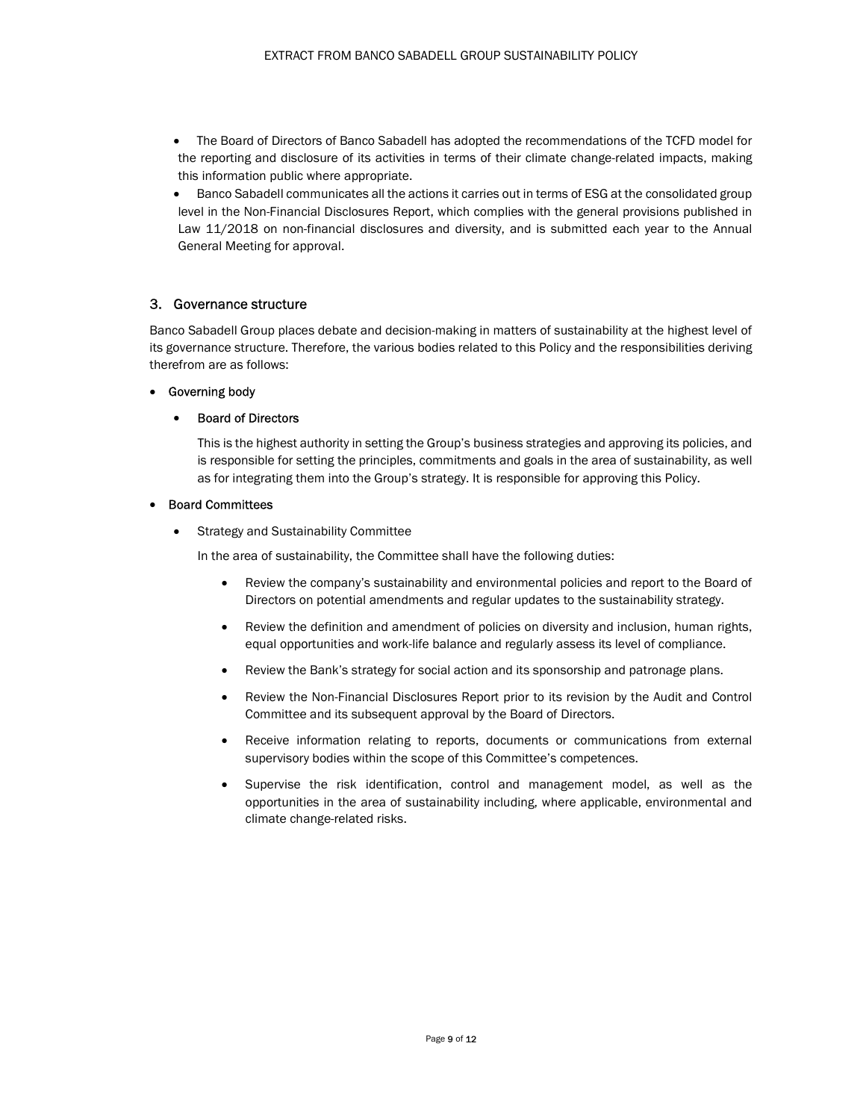- The Board of Directors of Banco Sabadell has adopted the recommendations of the TCFD model for the reporting and disclosure of its activities in terms of their climate change-related impacts, making this information public where appropriate.
- Banco Sabadell communicates all the actions it carries out in terms of ESG at the consolidated group level in the Non-Financial Disclosures Report, which complies with the general provisions published in Law 11/2018 on non-financial disclosures and diversity, and is submitted each year to the Annual General Meeting for approval.

### 3. Governance structure

Banco Sabadell Group places debate and decision-making in matters of sustainability at the highest level of its governance structure. Therefore, the various bodies related to this Policy and the responsibilities deriving therefrom are as follows:

### Governing body

### Board of Directors

This is the highest authority in setting the Group's business strategies and approving its policies, and is responsible for setting the principles, commitments and goals in the area of sustainability, as well as for integrating them into the Group's strategy. It is responsible for approving this Policy.

### Board Committees

• Strategy and Sustainability Committee

In the area of sustainability, the Committee shall have the following duties:

- Review the company's sustainability and environmental policies and report to the Board of Directors on potential amendments and regular updates to the sustainability strategy.
- Review the definition and amendment of policies on diversity and inclusion, human rights, equal opportunities and work-life balance and regularly assess its level of compliance.
- Review the Bank's strategy for social action and its sponsorship and patronage plans.
- Review the Non-Financial Disclosures Report prior to its revision by the Audit and Control Committee and its subsequent approval by the Board of Directors.
- Receive information relating to reports, documents or communications from external supervisory bodies within the scope of this Committee's competences.
- Supervise the risk identification, control and management model, as well as the opportunities in the area of sustainability including, where applicable, environmental and climate change-related risks.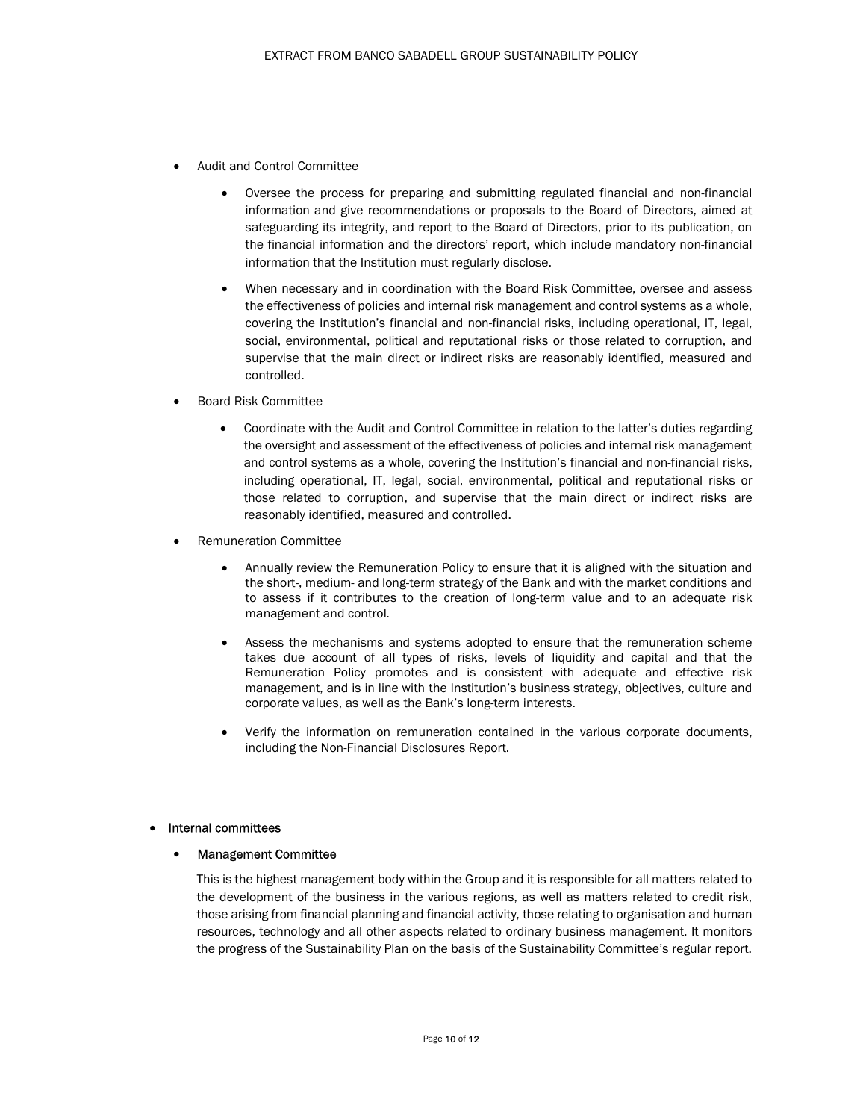- Audit and Control Committee
	- Oversee the process for preparing and submitting regulated financial and non-financial information and give recommendations or proposals to the Board of Directors, aimed at safeguarding its integrity, and report to the Board of Directors, prior to its publication, on the financial information and the directors' report, which include mandatory non-financial information that the Institution must regularly disclose.
	- When necessary and in coordination with the Board Risk Committee, oversee and assess the effectiveness of policies and internal risk management and control systems as a whole, covering the Institution's financial and non-financial risks, including operational, IT, legal, social, environmental, political and reputational risks or those related to corruption, and supervise that the main direct or indirect risks are reasonably identified, measured and controlled.
- Board Risk Committee
	- Coordinate with the Audit and Control Committee in relation to the latter's duties regarding the oversight and assessment of the effectiveness of policies and internal risk management and control systems as a whole, covering the Institution's financial and non-financial risks, including operational, IT, legal, social, environmental, political and reputational risks or those related to corruption, and supervise that the main direct or indirect risks are reasonably identified, measured and controlled.
- Remuneration Committee
	- Annually review the Remuneration Policy to ensure that it is aligned with the situation and the short-, medium- and long-term strategy of the Bank and with the market conditions and to assess if it contributes to the creation of long-term value and to an adequate risk management and control.
	- Assess the mechanisms and systems adopted to ensure that the remuneration scheme takes due account of all types of risks, levels of liquidity and capital and that the Remuneration Policy promotes and is consistent with adequate and effective risk management, and is in line with the Institution's business strategy, objectives, culture and corporate values, as well as the Bank's long-term interests.
	- Verify the information on remuneration contained in the various corporate documents, including the Non-Financial Disclosures Report.

### Internal committees

### Management Committee

This is the highest management body within the Group and it is responsible for all matters related to the development of the business in the various regions, as well as matters related to credit risk, those arising from financial planning and financial activity, those relating to organisation and human resources, technology and all other aspects related to ordinary business management. It monitors the progress of the Sustainability Plan on the basis of the Sustainability Committee's regular report.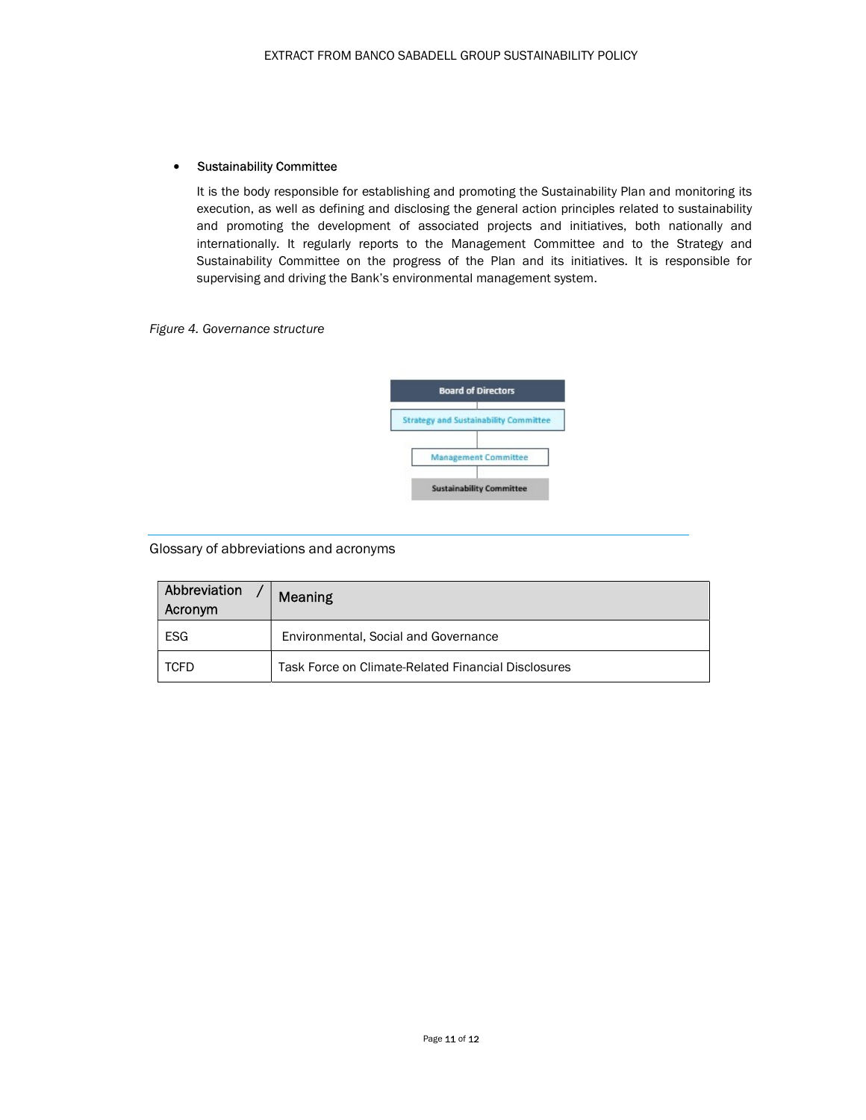### Sustainability Committee

It is the body responsible for establishing and promoting the Sustainability Plan and monitoring its execution, as well as defining and disclosing the general action principles related to sustainability and promoting the development of associated projects and initiatives, both nationally and internationally. It regularly reports to the Management Committee and to the Strategy and Sustainability Committee on the progress of the Plan and its initiatives. It is responsible for supervising and driving the Bank's environmental management system.

### Figure 4. Governance structure



### Glossary of abbreviations and acronyms

| Abbreviation<br>Acronym | Meaning                                             |
|-------------------------|-----------------------------------------------------|
| <b>ESG</b>              | Environmental, Social and Governance                |
| TCFD                    | Task Force on Climate-Related Financial Disclosures |